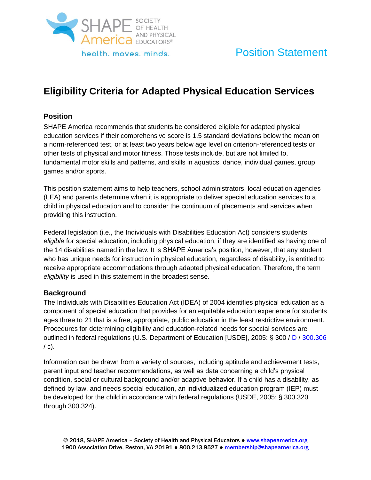

# Position Statement

# **Eligibility Criteria for Adapted Physical Education Services**

# **Position**

SHAPE America recommends that students be considered eligible for adapted physical education services if their comprehensive score is 1.5 standard deviations below the mean on a norm-referenced test, or at least two years below age level on criterion-referenced tests or other tests of physical and motor fitness. Those tests include, but are not limited to, fundamental motor skills and patterns, and skills in aquatics, dance, individual games, group games and/or sports.

This position statement aims to help teachers, school administrators, local education agencies (LEA) and parents determine when it is appropriate to deliver special education services to a child in physical education and to consider the continuum of placements and services when providing this instruction.

Federal legislation (i.e., the Individuals with Disabilities Education Act) considers students *eligible* for special education, including physical education, if they are identified as having one of the 14 disabilities named in the law. It is SHAPE America's position, however, that any student who has unique needs for instruction in physical education, regardless of disability, is entitled to receive appropriate accommodations through adapted physical education. Therefore, the term *eligibility* is used in this statement in the broadest sense.

# **Background**

The Individuals with Disabilities Education Act (IDEA) of 2004 identifies physical education as a component of special education that provides for an equitable education experience for students ages three to 21 that is a free, appropriate, public education in the least restrictive environment. Procedures for determining eligibility and education-related needs for special services are outlined in federal regulations (U.S. Department of Education [USDE], 2005: § 300 / D / 300.306  $\prime$  c).

Information can be drawn from a variety of sources, including aptitude and achievement tests, parent input and teacher recommendations, as well as data concerning a child's physical condition, social or cultural background and/or adaptive behavior. If a child has a disability, as defined by law, and needs special education, an individualized education program (IEP) must be developed for the child in accordance with federal regulations (USDE, 2005: § 300.320 through 300.324).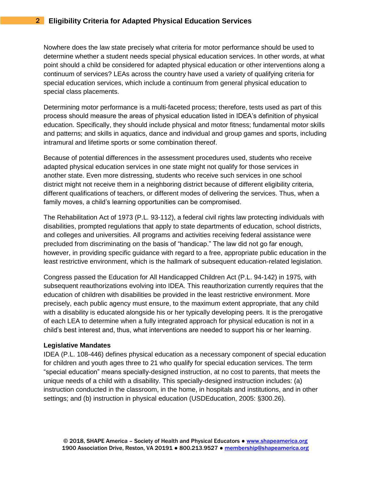Nowhere does the law state precisely what criteria for motor performance should be used to determine whether a student needs special physical education services. In other words, at what point should a child be considered for adapted physical education or other interventions along a continuum of services? LEAs across the country have used a variety of qualifying criteria for special education services, which include a continuum from general physical education to special class placements.

Determining motor performance is a multi-faceted process; therefore, tests used as part of this process should measure the areas of physical education listed in IDEA's definition of physical education. Specifically, they should include physical and motor fitness; fundamental motor skills and patterns; and skills in aquatics, dance and individual and group games and sports, including intramural and lifetime sports or some combination thereof.

Because of potential differences in the assessment procedures used, students who receive adapted physical education services in one state might not qualify for those services in another state. Even more distressing, students who receive such services in one school district might not receive them in a neighboring district because of different eligibility criteria, different qualifications of teachers, or different modes of delivering the services. Thus, when a family moves, a child's learning opportunities can be compromised.

The Rehabilitation Act of 1973 (P.L. 93-112), a federal civil rights law protecting individuals with disabilities, prompted regulations that apply to state departments of education, school districts, and colleges and universities. All programs and activities receiving federal assistance were precluded from discriminating on the basis of "handicap." The law did not go far enough, however, in providing specific guidance with regard to a free, appropriate public education in the least restrictive environment, which is the hallmark of subsequent education-related legislation.

Congress passed the Education for All Handicapped Children Act (P.L. 94-142) in 1975, with subsequent reauthorizations evolving into IDEA. This reauthorization currently requires that the education of children with disabilities be provided in the least restrictive environment. More precisely, each public agency must ensure, to the maximum extent appropriate, that any child with a disability is educated alongside his or her typically developing peers. It is the prerogative of each LEA to determine when a fully integrated approach for physical education is not in a child's best interest and, thus, what interventions are needed to support his or her learning.

## **Legislative Mandates**

IDEA (P.L. 108-446) defines physical education as a necessary component of special education for children and youth ages three to 21 who qualify for special education services. The term "special education" means specially-designed instruction, at no cost to parents, that meets the unique needs of a child with a disability. This specially-designed instruction includes: (a) instruction conducted in the classroom, in the home, in hospitals and institutions, and in other settings; and (b) instruction in physical education (USDEducation, 2005: §300.26).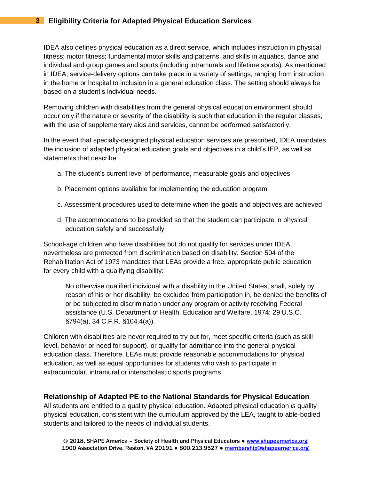IDEA also defines physical education as a direct service, which includes instruction in physical fitness; motor fitness; fundamental motor skills and patterns; and skills in aquatics, dance and individual and group games and sports (including intramurals and lifetime sports). As mentioned in IDEA, service-delivery options can take place in a variety of settings, ranging from instruction in the home or hospital to inclusion in a general education class. The setting should always be based on a student's individual needs.

Removing children with disabilities from the general physical education environment should occur only if the nature or severity of the disability is such that education in the regular classes, with the use of supplementary aids and services, cannot be performed satisfactorily.

In the event that specially-designed physical education services are prescribed, IDEA mandates the inclusion of adapted physical education goals and objectives in a child's IEP, as well as statements that describe:

- a. The student's current level of performance, measurable goals and objectives
- b. Placement options available for implementing the education program
- c. Assessment procedures used to determine when the goals and objectives are achieved
- d. The accommodations to be provided so that the student can participate in physical education safely and successfully

School-age children who have disabilities but do not qualify for services under IDEA nevertheless are protected from discrimination based on disability. Section 504 of the Rehabilitation Act of 1973 mandates that LEAs provide a free, appropriate public education for every child with a qualifying disability:

No otherwise qualified individual with a disability in the United States, shall, solely by reason of his or her disability, be excluded from participation in, be denied the benefits of or be subjected to discrimination under any program or activity receiving Federal assistance (U.S. Department of Health, Education and Welfare, 1974: 29 U.S.C. §794(a), 34 C.F.R. §104.4(a)).

Children with disabilities are never required to try out for, meet specific criteria (such as skill level, behavior or need for support), or qualify for admittance into the general physical education class. Therefore, LEAs must provide reasonable accommodations for physical education, as well as equal opportunities for students who wish to participate in extracurricular, intramural or interscholastic sports programs.

# **Relationship of Adapted PE to the National Standards for Physical Education**

All students are entitled to a quality physical education. Adapted physical education *is* quality physical education, consistent with the curriculum approved by the LEA, taught to able-bodied students and tailored to the needs of individual students.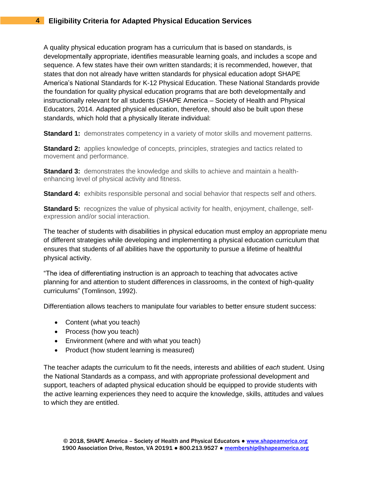A quality physical education program has a curriculum that is based on standards, is developmentally appropriate, identifies measurable learning goals, and includes a scope and sequence. A few states have their own written standards; it is recommended, however, that states that don not already have written standards for physical education adopt SHAPE America's National Standards for K-12 Physical Education. These National Standards provide the foundation for quality physical education programs that are both developmentally and instructionally relevant for all students (SHAPE America – Society of Health and Physical Educators, 2014. Adapted physical education, therefore, should also be built upon these standards, which hold that a physically literate individual:

**Standard 1:** demonstrates competency in a variety of motor skills and movement patterns.

**Standard 2:** applies knowledge of concepts, principles, strategies and tactics related to movement and performance.

**Standard 3:** demonstrates the knowledge and skills to achieve and maintain a healthenhancing level of physical activity and fitness.

**Standard 4:** exhibits responsible personal and social behavior that respects self and others.

**Standard 5:** recognizes the value of physical activity for health, enjoyment, challenge, selfexpression and/or social interaction.

The teacher of students with disabilities in physical education must employ an appropriate menu of different strategies while developing and implementing a physical education curriculum that ensures that students of *all* abilities have the opportunity to pursue a lifetime of healthful physical activity.

"The idea of differentiating instruction is an approach to teaching that advocates active planning for and attention to student differences in classrooms, in the context of high-quality curriculums" (Tomlinson, 1992).

Differentiation allows teachers to manipulate four variables to better ensure student success:

- Content (what you teach)
- Process (how you teach)
- Environment (where and with what you teach)
- Product (how student learning is measured)

The teacher adapts the curriculum to fit the needs, interests and abilities of *each* student. Using the National Standards as a compass, and with appropriate professional development and support, teachers of adapted physical education should be equipped to provide students with the active learning experiences they need to acquire the knowledge, skills, attitudes and values to which they are entitled.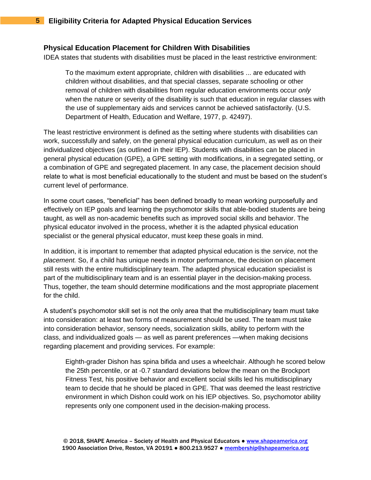### **Physical Education Placement for Children With Disabilities**

IDEA states that students with disabilities must be placed in the least restrictive environment:

To the maximum extent appropriate, children with disabilities ... are educated with children without disabilities, and that special classes, separate schooling or other removal of children with disabilities from regular education environments occur *only*  when the nature or severity of the disability is such that education in regular classes with the use of supplementary aids and services cannot be achieved satisfactorily. (U.S. Department of Health, Education and Welfare, 1977, p. 42497).

The least restrictive environment is defined as the setting where students with disabilities can work, successfully and safely, on the general physical education curriculum, as well as on their individualized objectives (as outlined in their IEP). Students with disabilities can be placed in general physical education (GPE), a GPE setting with modifications, in a segregated setting, or a combination of GPE and segregated placement. In any case, the placement decision should relate to what is most beneficial educationally to the student and must be based on the student's current level of performance.

In some court cases, "beneficial" has been defined broadly to mean working purposefully and effectively on IEP goals and learning the psychomotor skills that able-bodied students are being taught, as well as non-academic benefits such as improved social skills and behavior. The physical educator involved in the process, whether it is the adapted physical education specialist or the general physical educator, must keep these goals in mind.

In addition, it is important to remember that adapted physical education is the *service,* not the *placement.* So, if a child has unique needs in motor performance, the decision on placement still rests with the entire multidisciplinary team. The adapted physical education specialist is part of the multidisciplinary team and is an essential player in the decision-making process. Thus, together, the team should determine modifications and the most appropriate placement for the child.

A student's psychomotor skill set is not the only area that the multidisciplinary team must take into consideration: at least two forms of measurement should be used. The team must take into consideration behavior, sensory needs, socialization skills, ability to perform with the class, and individualized goals — as well as parent preferences —when making decisions regarding placement and providing services. For example:

Eighth-grader Dishon has spina bifida and uses a wheelchair. Although he scored below the 25th percentile, or at -0.7 standard deviations below the mean on the Brockport Fitness Test, his positive behavior and excellent social skills led his multidisciplinary team to decide that he should be placed in GPE. That was deemed the least restrictive environment in which Dishon could work on his IEP objectives. So, psychomotor ability represents only one component used in the decision-making process.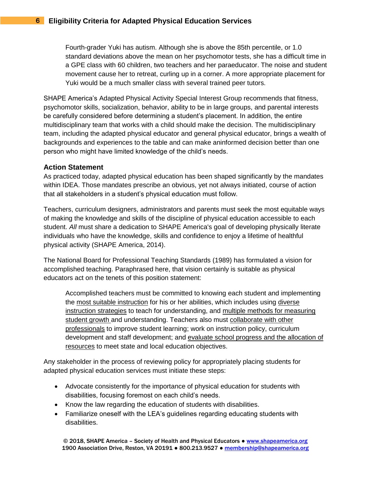Fourth-grader Yuki has autism. Although she is above the 85th percentile, or 1.0 standard deviations above the mean on her psychomotor tests, she has a difficult time in a GPE class with 60 children, two teachers and her paraeducator. The noise and student movement cause her to retreat, curling up in a corner. A more appropriate placement for Yuki would be a much smaller class with several trained peer tutors.

SHAPE America's Adapted Physical Activity Special Interest Group recommends that fitness, psychomotor skills, socialization, behavior, ability to be in large groups, and parental interests be carefully considered before determining a student's placement. In addition, the entire multidisciplinary team that works with a child should make the decision. The multidisciplinary team, including the adapted physical educator and general physical educator, brings a wealth of backgrounds and experiences to the table and can make aninformed decision better than one person who might have limited knowledge of the child's needs.

## **Action Statement**

As practiced today, adapted physical education has been shaped significantly by the mandates within IDEA. Those mandates prescribe an obvious, yet not always initiated, course of action that all stakeholders in a student's physical education must follow.

Teachers, curriculum designers, administrators and parents must seek the most equitable ways of making the knowledge and skills of the discipline of physical education accessible to each student. *All* must share a dedication to SHAPE America's goal of developing physically literate individuals who have the knowledge, skills and confidence to enjoy a lifetime of healthful physical activity (SHAPE America, 2014).

The National Board for Professional Teaching Standards (1989) has formulated a vision for accomplished teaching. Paraphrased here, that vision certainly is suitable as physical educators act on the tenets of this position statement:

Accomplished teachers must be committed to knowing each student and implementing the most suitable instruction for his or her abilities, which includes using diverse instruction strategies to teach for understanding, and multiple methods for measuring student growth and understanding. Teachers also must collaborate with other professionals to improve student learning; work on instruction policy, curriculum development and staff development; and evaluate school progress and the allocation of resources to meet state and local education objectives.

Any stakeholder in the process of reviewing policy for appropriately placing students for adapted physical education services must initiate these steps:

- Advocate consistently for the importance of physical education for students with disabilities, focusing foremost on each child's needs.
- Know the law regarding the education of students with disabilities.
- Familiarize oneself with the LEA's guidelines regarding educating students with disabilities.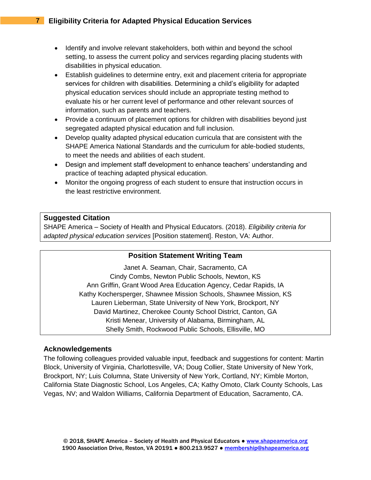- Identify and involve relevant stakeholders, both within and beyond the school setting, to assess the current policy and services regarding placing students with disabilities in physical education.
- Establish guidelines to determine entry, exit and placement criteria for appropriate services for children with disabilities. Determining a child's eligibility for adapted physical education services should include an appropriate testing method to evaluate his or her current level of performance and other relevant sources of information, such as parents and teachers.
- Provide a continuum of placement options for children with disabilities beyond just segregated adapted physical education and full inclusion.
- Develop quality adapted physical education curricula that are consistent with the SHAPE America National Standards and the curriculum for able-bodied students, to meet the needs and abilities of each student.
- Design and implement staff development to enhance teachers' understanding and practice of teaching adapted physical education.
- Monitor the ongoing progress of each student to ensure that instruction occurs in the least restrictive environment.

## **Suggested Citation**

SHAPE America – Society of Health and Physical Educators. (2018). *Eligibility criteria for adapted physical education services* [Position statement]. Reston, VA: Author.

## **Position Statement Writing Team**

Janet A. Seaman, Chair, Sacramento, CA Cindy Combs, Newton Public Schools, Newton, KS Ann Griffin, Grant Wood Area Education Agency, Cedar Rapids, IA Kathy Kochersperger, Shawnee Mission Schools, Shawnee Mission, KS Lauren Lieberman, State University of New York, Brockport, NY David Martinez, Cherokee County School District, Canton, GA Kristi Menear, University of Alabama, Birmingham, AL Shelly Smith, Rockwood Public Schools, Ellisville, MO

## **Acknowledgements**

The following colleagues provided valuable input, feedback and suggestions for content: Martin Block, University of Virginia, Charlottesville, VA; Doug Collier, State University of New York, Brockport, NY; Luis Columna, State University of New York, Cortland, NY; Kimble Morton, California State Diagnostic School, Los Angeles, CA; Kathy Omoto, Clark County Schools, Las Vegas, NV; and Waldon Williams, California Department of Education, Sacramento, CA.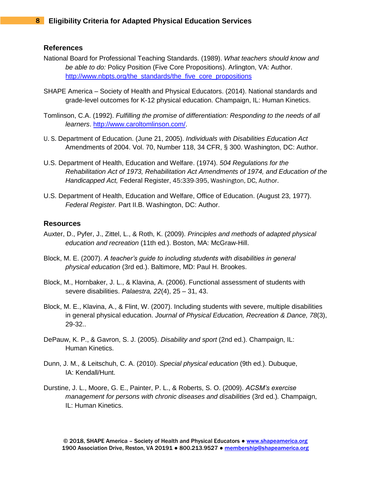## **References**

- National Board for Professional Teaching Standards. (1989). *What teachers should know and be able to do:* Policy Position (Five Core Propositions). Arlington, VA: Author. http://www.nbpts.org/the\_standards/the\_five\_core\_propositions
- SHAPE America Society of Health and Physical Educators. (2014). National standards and grade-level outcomes for K-12 physical education. Champaign, IL: Human Kinetics.
- Tomlinson, C.A. (1992). *Fulfilling the promise of differentiation: Responding to the needs of all learners*. http://www.caroltomlinson.com/.
- U. S. Department of Education. (June 21, 2005). *Individuals with Disabilities Education Act*  Amendments of 2004. Vol. 70, Number 118, 34 CFR, § 300. Washington, DC: Author.
- U.S. Department of Health, Education and Welfare. (1974). *504 Regulations for the Rehabilitation Act of 1973, Rehabilitation Act Amendments of 1974, and Education of the Handicapped Act,* Federal Register, 45:339-395, Washington, DC, Author.
- U.S. Department of Health, Education and Welfare, Office of Education. (August 23, 1977). *Federal Register.* Part II.B. Washington, DC: Author.

## **Resources**

- Auxter, D., Pyfer, J., Zittel, L., & Roth, K. (2009). *Principles and methods of adapted physical education and recreation* (11th ed.). Boston, MA: McGraw-Hill.
- Block, M. E. (2007). *A teacher's guide to including students with disabilities in general physical education* (3rd ed.). Baltimore, MD: Paul H. Brookes.
- Block, M., Hornbaker, J. L., & Klavina, A. (2006). Functional assessment of students with severe disabilities. *Palaestra, 22*(4), 25 – 31, 43.
- Block, M. E., Klavina, A., & Flint, W. (2007). Including students with severe, multiple disabilities in general physical education. *Journal of Physical Education, Recreation & Dance, 78*(3), 29-32..
- DePauw, K. P., & Gavron, S. J. (2005). *Disability and sport* (2nd ed.). Champaign, IL: Human Kinetics.
- Dunn, J. M., & Leitschuh, C. A. (2010). *Special physical education* (9th ed.). Dubuque, IA: Kendall/Hunt.
- Durstine, J. L., Moore, G. E., Painter, P. L., & Roberts, S. O. (2009). *ACSM's exercise management for persons with chronic diseases and disabilities* (3rd ed.)*.* Champaign, IL: Human Kinetics.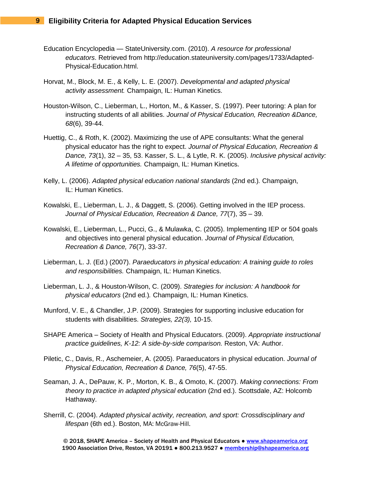- Education Encyclopedia StateUniversity.com. (2010). *A resource for professional educators*. Retrieved from http://education.stateuniversity.com/pages/1733/Adapted-Physical-Education.html.
- Horvat, M., Block, M. E., & Kelly, L. E. (2007). *Developmental and adapted physical activity assessment.* Champaign, IL: Human Kinetics.
- Houston-Wilson, C., Lieberman, L., Horton, M., & Kasser, S. (1997). Peer tutoring: A plan for instructing students of all abilities. *Journal of Physical Education, Recreation &Dance, 68*(6), 39-44.
- Huettig, C., & Roth, K. (2002). Maximizing the use of APE consultants: What the general physical educator has the right to expect. *Journal of Physical Education, Recreation & Dance, 73*(1), 32 – 35, 53. Kasser, S. L., & Lytle, R. K. (2005). *Inclusive physical activity: A lifetime of opportunities.* Champaign, IL: Human Kinetics.
- Kelly, L. (2006). *Adapted physical education national standards* (2nd ed.)*.* Champaign, IL: Human Kinetics.
- Kowalski, E., Lieberman, L. J., & Daggett, S. (2006). Getting involved in the IEP process. *Journal of Physical Education, Recreation & Dance, 77*(7), 35 – 39.
- Kowalski, E., Lieberman, L., Pucci, G., & Mulawka, C. (2005). Implementing IEP or 504 goals and objectives into general physical education. *Journal of Physical Education, Recreation & Dance, 76*(7), 33-37.
- Lieberman, L. J. (Ed.) (2007). *Paraeducators in physical education: A training guide to roles and responsibilities.* Champaign, IL: Human Kinetics.
- Lieberman, L. J., & Houston-Wilson, C. (2009). *Strategies for inclusion: A handbook for physical educators* (2nd ed.)*.* Champaign, IL: Human Kinetics.
- Munford, V. E., & Chandler, J.P. (2009). Strategies for supporting inclusive education for students with disabilities. *Strategies, 22(3),* 10-15.
- SHAPE America Society of Health and Physical Educators. (2009). *Appropriate instructional practice guidelines, K-12: A side-by-side comparison.* Reston, VA: Author.
- Piletic, C., Davis, R., Aschemeier, A. (2005). Paraeducators in physical education. *Journal of Physical Education, Recreation & Dance, 76*(5), 47-55.
- Seaman, J. A., DePauw, K. P., Morton, K. B., & Omoto, K. (2007). *Making connections: From theory to practice in adapted physical education* (2nd ed.). Scottsdale, AZ: Holcomb Hathaway.
- Sherrill, C. (2004). *Adapted physical activity, recreation, and sport: Crossdisciplinary and lifespan* (6th ed.). Boston, MA: McGraw-Hill.

© 2018, SHAPE America – Society of Health and Physical Educators ● [www.shapeamerica.org](http://www.shapeamerica.org/) 1900 Association Drive, Reston, VA 20191 • 800.213.9527 • [membership@shapeamerica.org](mailto:membership@shapeamerica.org)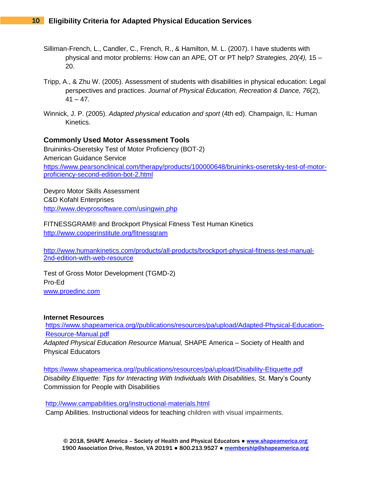- Silliman-French, L., Candler, C., French, R., & Hamilton, M. L. (2007). I have students with physical and motor problems: How can an APE, OT or PT help? *Strategies, 20(4),* 15 – 20.
- Tripp, A., & Zhu W. (2005). Assessment of students with disabilities in physical education: Legal perspectives and practices. *Journal of Physical Education, Recreation & Dance, 76*(2),  $41 - 47$ .
- Winnick, J. P. (2005). *Adapted physical education and sport* (4th ed). Champaign, IL: Human Kinetics.

## **Commonly Used Motor Assessment Tools**

Bruininks-Oseretsky Test of Motor Proficiency (BOT-2) American Guidance Service [https://www.pearsonclinical.com/therapy/products/100000648/bruininks-oseretsky-test-of-motor](https://www.pearsonclinical.com/therapy/products/100000648/bruininks-oseretsky-test-of-motor-proficiency-second-edition-bot-2.html)[proficiency-second-edition-bot-2.html](https://www.pearsonclinical.com/therapy/products/100000648/bruininks-oseretsky-test-of-motor-proficiency-second-edition-bot-2.html)

Devpro Motor Skills Assessment C&D Kofahl Enterprises <http://www.devprosoftware.com/usingwin.php>

FITNESSGRAM® and Brockport Physical Fitness Test Human Kinetics <http://www.cooperinstitute.org/fitnessgram>

[http://www.humankinetics.com/products/all-products/brockport-physical-fitness-test-manual-](http://www.humankinetics.com/products/all-products/brockport-physical-fitness-test-manual-2nd-edition-with-web-resource)[2nd-edition-with-web-resource](http://www.humankinetics.com/products/all-products/brockport-physical-fitness-test-manual-2nd-edition-with-web-resource)

Test of Gross Motor Development (TGMD-2) Pro-Ed [www.proedinc.com](http://www.proedinc.com/)

## **Internet Resources**

[https://www.shapeamerica.org//publications/resources/pa/upload/Adapted-Physical-Education-](https://www.shapeamerica.org/publications/resources/pa/upload/Adapted-Physical-Education-Resource-Manual.pdf)[Resource-Manual.pdf](https://www.shapeamerica.org/publications/resources/pa/upload/Adapted-Physical-Education-Resource-Manual.pdf) *Adapted Physical Education Resource Manual,* SHAPE America – Society of Health and Physical Educators

[https://www.shapeamerica.org//publications/resources/pa/upload/Disability-Etiquette.pdf](https://www.shapeamerica.org/publications/resources/pa/upload/Disability-Etiquette.pdf) *Disability Etiquette: Tips for Interacting With Individuals With Disabilities,* St. Mary's County Commission for People with Disabilities

http://www.campabilities.org/instructional-materials.html

Camp Abilities. Instructional videos for teaching children with visual impairments.

© 2018, SHAPE America – Society of Health and Physical Educators ● [www.shapeamerica.org](http://www.shapeamerica.org/) 1900 Association Drive, Reston, VA 20191 . 800.213.9527 . [membership@shapeamerica.org](mailto:membership@shapeamerica.org)